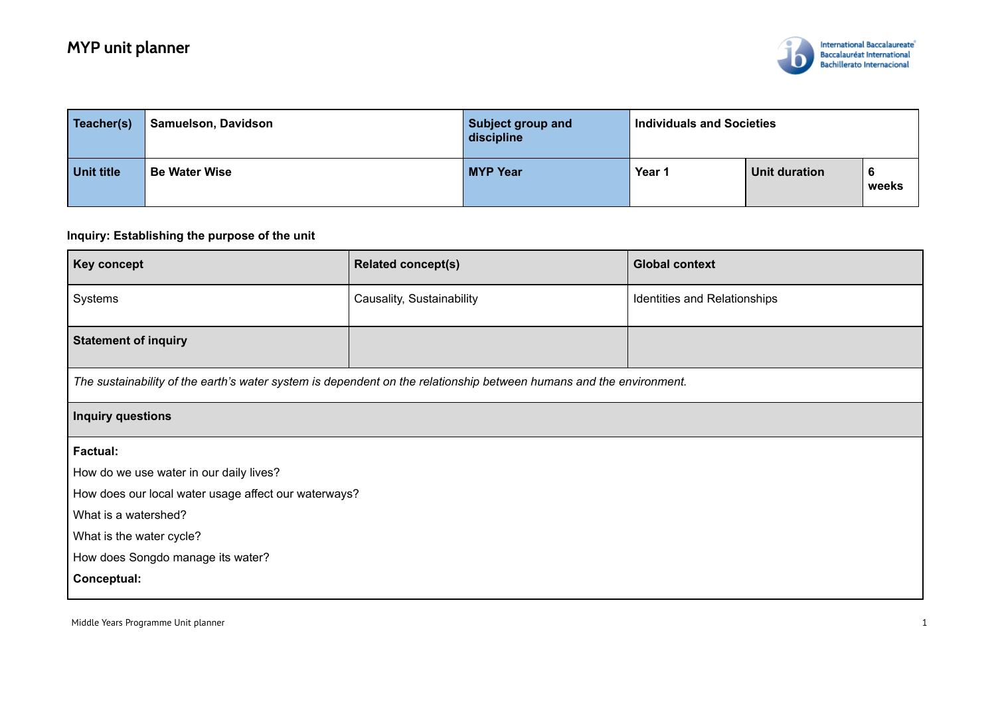

| Teacher(s)        | <b>Samuelson, Davidson</b> | Subject group and<br>discipline | <b>Individuals and Societies</b> |               |            |
|-------------------|----------------------------|---------------------------------|----------------------------------|---------------|------------|
| <b>Unit title</b> | <b>Be Water Wise</b>       | <b>MYP Year</b>                 | Year 1                           | Unit duration | D<br>weeks |

### **Inquiry: Establishing the purpose of the unit**

| <b>Key concept</b>                                                                                                  | <b>Related concept(s)</b> | <b>Global context</b>        |  |
|---------------------------------------------------------------------------------------------------------------------|---------------------------|------------------------------|--|
| Systems                                                                                                             | Causality, Sustainability | Identities and Relationships |  |
| <b>Statement of inquiry</b>                                                                                         |                           |                              |  |
| The sustainability of the earth's water system is dependent on the relationship between humans and the environment. |                           |                              |  |
| <b>Inquiry questions</b>                                                                                            |                           |                              |  |
| <b>Factual:</b>                                                                                                     |                           |                              |  |
| How do we use water in our daily lives?                                                                             |                           |                              |  |
| How does our local water usage affect our waterways?                                                                |                           |                              |  |
| What is a watershed?                                                                                                |                           |                              |  |
| What is the water cycle?                                                                                            |                           |                              |  |
| How does Songdo manage its water?                                                                                   |                           |                              |  |
| Conceptual:                                                                                                         |                           |                              |  |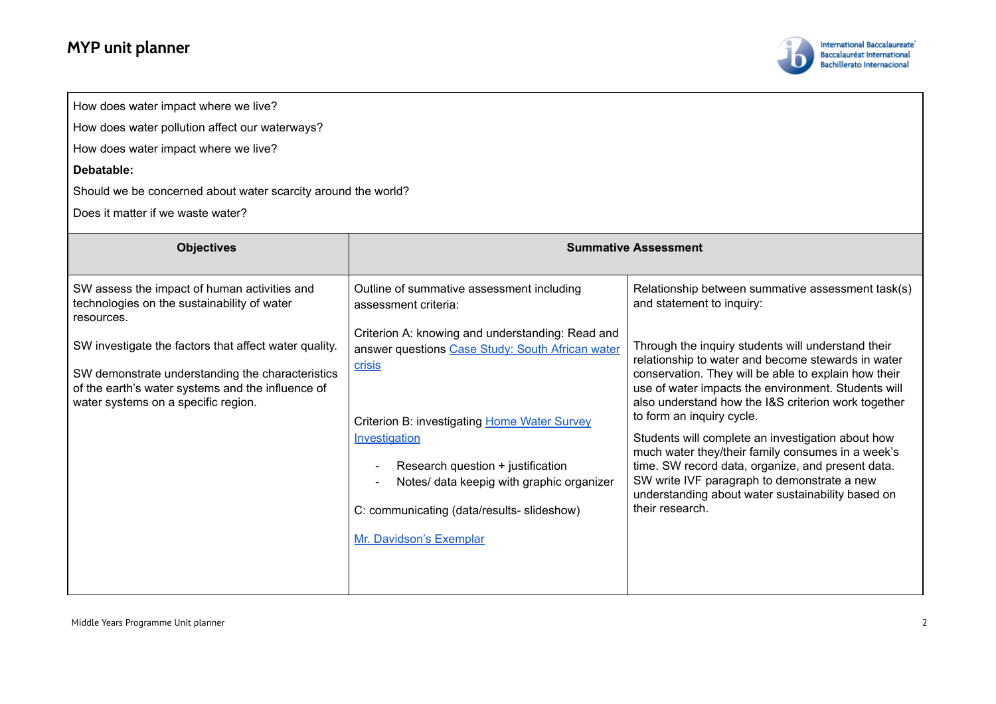Г



| How does water impact where we live?                                                                                                                                                                                                                                                                               |                                                                                                                                                                                                                                                                                                                                                                                                                |                                                                                                                                                                                                                                                                                                                                                                                                                                                                                                                                                                                                                                                                                     |  |  |
|--------------------------------------------------------------------------------------------------------------------------------------------------------------------------------------------------------------------------------------------------------------------------------------------------------------------|----------------------------------------------------------------------------------------------------------------------------------------------------------------------------------------------------------------------------------------------------------------------------------------------------------------------------------------------------------------------------------------------------------------|-------------------------------------------------------------------------------------------------------------------------------------------------------------------------------------------------------------------------------------------------------------------------------------------------------------------------------------------------------------------------------------------------------------------------------------------------------------------------------------------------------------------------------------------------------------------------------------------------------------------------------------------------------------------------------------|--|--|
| How does water pollution affect our waterways?                                                                                                                                                                                                                                                                     |                                                                                                                                                                                                                                                                                                                                                                                                                |                                                                                                                                                                                                                                                                                                                                                                                                                                                                                                                                                                                                                                                                                     |  |  |
| How does water impact where we live?                                                                                                                                                                                                                                                                               |                                                                                                                                                                                                                                                                                                                                                                                                                |                                                                                                                                                                                                                                                                                                                                                                                                                                                                                                                                                                                                                                                                                     |  |  |
| Debatable:                                                                                                                                                                                                                                                                                                         |                                                                                                                                                                                                                                                                                                                                                                                                                |                                                                                                                                                                                                                                                                                                                                                                                                                                                                                                                                                                                                                                                                                     |  |  |
| Should we be concerned about water scarcity around the world?                                                                                                                                                                                                                                                      |                                                                                                                                                                                                                                                                                                                                                                                                                |                                                                                                                                                                                                                                                                                                                                                                                                                                                                                                                                                                                                                                                                                     |  |  |
| Does it matter if we waste water?                                                                                                                                                                                                                                                                                  |                                                                                                                                                                                                                                                                                                                                                                                                                |                                                                                                                                                                                                                                                                                                                                                                                                                                                                                                                                                                                                                                                                                     |  |  |
| <b>Objectives</b>                                                                                                                                                                                                                                                                                                  | <b>Summative Assessment</b>                                                                                                                                                                                                                                                                                                                                                                                    |                                                                                                                                                                                                                                                                                                                                                                                                                                                                                                                                                                                                                                                                                     |  |  |
| SW assess the impact of human activities and<br>technologies on the sustainability of water<br>resources.<br>SW investigate the factors that affect water quality.<br>SW demonstrate understanding the characteristics<br>of the earth's water systems and the influence of<br>water systems on a specific region. | Outline of summative assessment including<br>assessment criteria:<br>Criterion A: knowing and understanding: Read and<br>answer questions Case Study: South African water<br>crisis<br>Criterion B: investigating Home Water Survey<br>Investigation<br>Research question + justification<br>Notes/ data keepig with graphic organizer<br>C: communicating (data/results-slideshow)<br>Mr. Davidson's Exemplar | Relationship between summative assessment task(s)<br>and statement to inquiry:<br>Through the inquiry students will understand their<br>relationship to water and become stewards in water<br>conservation. They will be able to explain how their<br>use of water impacts the environment. Students will<br>also understand how the I&S criterion work together<br>to form an inquiry cycle.<br>Students will complete an investigation about how<br>much water they/their family consumes in a week's<br>time. SW record data, organize, and present data.<br>SW write IVF paragraph to demonstrate a new<br>understanding about water sustainability based on<br>their research. |  |  |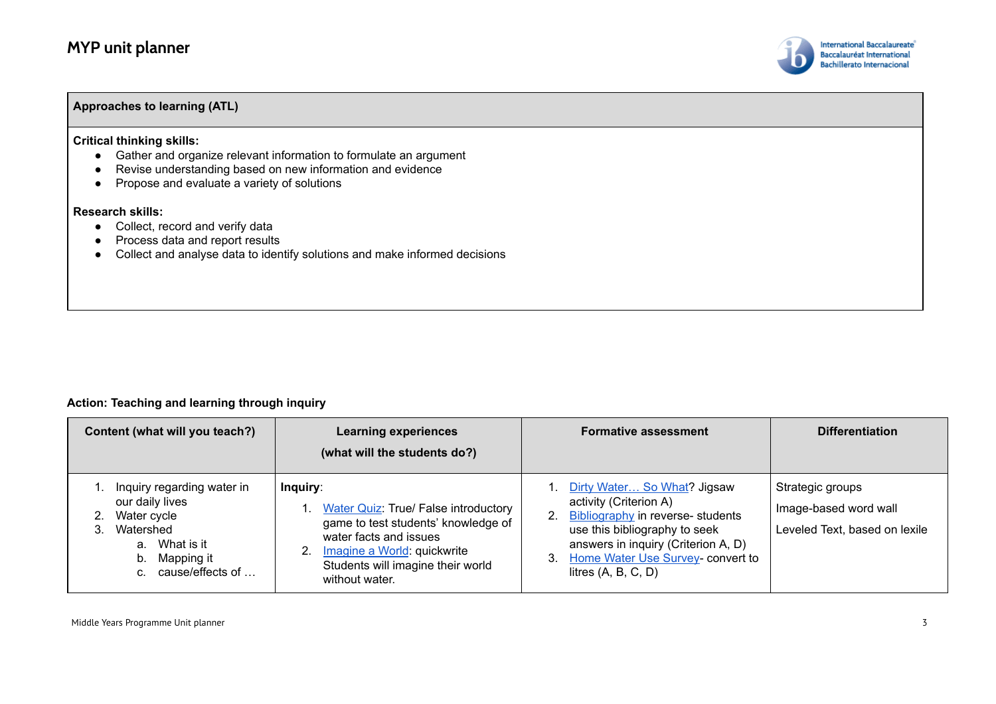

**Approaches to learning (ATL)**

**Critical thinking skills:**

- Gather and organize relevant information to formulate an argument
- Revise understanding based on new information and evidence
- Propose and evaluate a variety of solutions

**Research skills:**

- Collect, record and verify data
- Process data and report results
- Collect and analyse data to identify solutions and make informed decisions

#### **Action: Teaching and learning through inquiry**

| Content (what will you teach?)                                                                                                           | <b>Learning experiences</b><br>(what will the students do?)                                                                                                                                             | <b>Formative assessment</b>                                                                                                                                                                                                            | <b>Differentiation</b>                                                     |
|------------------------------------------------------------------------------------------------------------------------------------------|---------------------------------------------------------------------------------------------------------------------------------------------------------------------------------------------------------|----------------------------------------------------------------------------------------------------------------------------------------------------------------------------------------------------------------------------------------|----------------------------------------------------------------------------|
| 1. Inquiry regarding water in<br>our daily lives<br>2. Water cycle<br>Watershed<br>a. What is it<br>Mapping it<br>b.<br>cause/effects of | Inquiry:<br>Water Quiz: True/ False introductory<br>game to test students' knowledge of<br>water facts and issues<br>Imagine a World: quickwrite<br>Students will imagine their world<br>without water. | Dirty Water So What? Jigsaw<br>activity (Criterion A)<br><b>Bibliography</b> in reverse-students<br>use this bibliography to seek<br>answers in inquiry (Criterion A, D)<br>Home Water Use Survey- convert to<br>litres $(A, B, C, D)$ | Strategic groups<br>Image-based word wall<br>Leveled Text, based on lexile |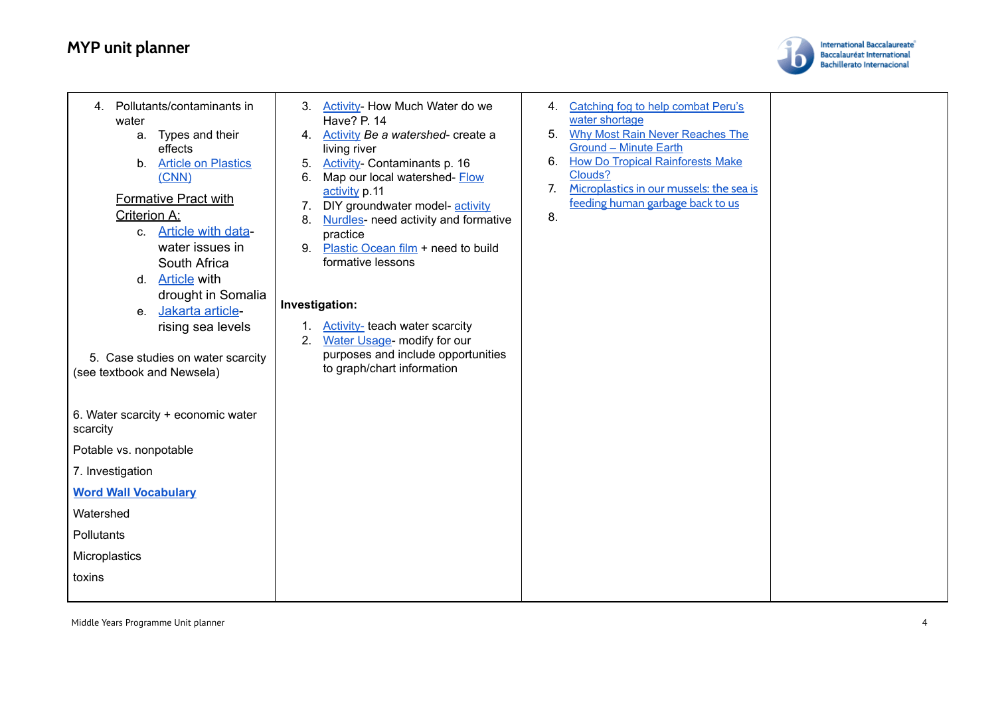

| Pollutants/contaminants in<br>4.<br>water<br>Types and their<br>а.<br>effects<br>b. Article on Plastics<br>(CNN)<br><b>Formative Pract with</b><br>Criterion A:<br><b>Article with data-</b><br>$C_{1}$<br>water issues in<br>South Africa<br>d. Article with<br>drought in Somalia<br>e. Jakarta article-<br>rising sea levels<br>5. Case studies on water scarcity<br>(see textbook and Newsela) | 3. Activity-How Much Water do we<br>Have? P. 14<br>4. Activity Be a watershed- create a<br>living river<br><b>Activity-Contaminants p. 16</b><br>5.<br>Map our local watershed- Flow<br>6.<br>activity p.11<br>DIY groundwater model-activity<br>7.<br>Nurdles- need activity and formative<br>8.<br>practice<br>Plastic Ocean film + need to build<br>9.<br>formative lessons<br>Investigation:<br><b>Activity-</b> teach water scarcity<br>Water Usage- modify for our<br>2.<br>purposes and include opportunities<br>to graph/chart information | Catching fog to help combat Peru's<br>4.<br>water shortage<br><b>Why Most Rain Never Reaches The</b><br>5.<br><b>Ground - Minute Earth</b><br>6.<br><b>How Do Tropical Rainforests Make</b><br>Clouds?<br>Microplastics in our mussels: the sea is<br>7.<br>feeding human garbage back to us<br>8. |  |
|----------------------------------------------------------------------------------------------------------------------------------------------------------------------------------------------------------------------------------------------------------------------------------------------------------------------------------------------------------------------------------------------------|----------------------------------------------------------------------------------------------------------------------------------------------------------------------------------------------------------------------------------------------------------------------------------------------------------------------------------------------------------------------------------------------------------------------------------------------------------------------------------------------------------------------------------------------------|----------------------------------------------------------------------------------------------------------------------------------------------------------------------------------------------------------------------------------------------------------------------------------------------------|--|
| 6. Water scarcity + economic water<br>scarcity<br>Potable vs. nonpotable<br>7. Investigation                                                                                                                                                                                                                                                                                                       |                                                                                                                                                                                                                                                                                                                                                                                                                                                                                                                                                    |                                                                                                                                                                                                                                                                                                    |  |
| <b>Word Wall Vocabulary</b><br>Watershed                                                                                                                                                                                                                                                                                                                                                           |                                                                                                                                                                                                                                                                                                                                                                                                                                                                                                                                                    |                                                                                                                                                                                                                                                                                                    |  |
| Pollutants                                                                                                                                                                                                                                                                                                                                                                                         |                                                                                                                                                                                                                                                                                                                                                                                                                                                                                                                                                    |                                                                                                                                                                                                                                                                                                    |  |
| Microplastics                                                                                                                                                                                                                                                                                                                                                                                      |                                                                                                                                                                                                                                                                                                                                                                                                                                                                                                                                                    |                                                                                                                                                                                                                                                                                                    |  |
| toxins                                                                                                                                                                                                                                                                                                                                                                                             |                                                                                                                                                                                                                                                                                                                                                                                                                                                                                                                                                    |                                                                                                                                                                                                                                                                                                    |  |
|                                                                                                                                                                                                                                                                                                                                                                                                    |                                                                                                                                                                                                                                                                                                                                                                                                                                                                                                                                                    |                                                                                                                                                                                                                                                                                                    |  |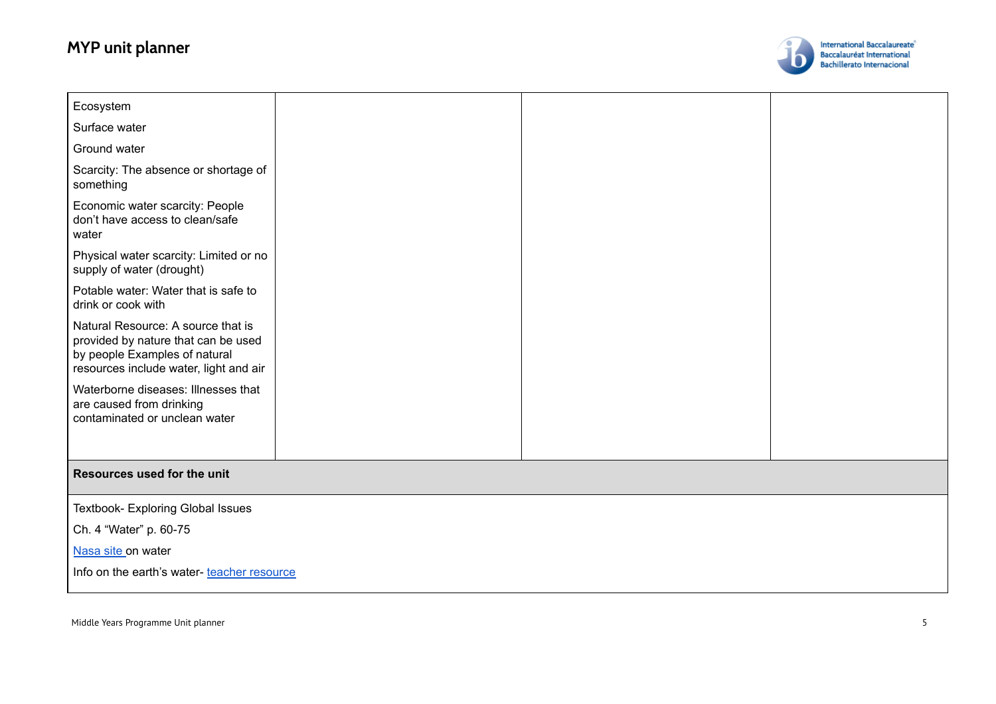

| Ecosystem                                                                                                                                            |  |  |  |
|------------------------------------------------------------------------------------------------------------------------------------------------------|--|--|--|
| Surface water                                                                                                                                        |  |  |  |
| Ground water                                                                                                                                         |  |  |  |
| Scarcity: The absence or shortage of<br>something                                                                                                    |  |  |  |
| Economic water scarcity: People<br>don't have access to clean/safe<br>water                                                                          |  |  |  |
| Physical water scarcity: Limited or no<br>supply of water (drought)                                                                                  |  |  |  |
| Potable water: Water that is safe to<br>drink or cook with                                                                                           |  |  |  |
| Natural Resource: A source that is<br>provided by nature that can be used<br>by people Examples of natural<br>resources include water, light and air |  |  |  |
| Waterborne diseases: Illnesses that<br>are caused from drinking<br>contaminated or unclean water                                                     |  |  |  |
| Resources used for the unit                                                                                                                          |  |  |  |
| Textbook- Exploring Global Issues                                                                                                                    |  |  |  |
| Ch. 4 "Water" p. 60-75                                                                                                                               |  |  |  |
| Nasa site on water                                                                                                                                   |  |  |  |
| Info on the earth's water-teacher resource                                                                                                           |  |  |  |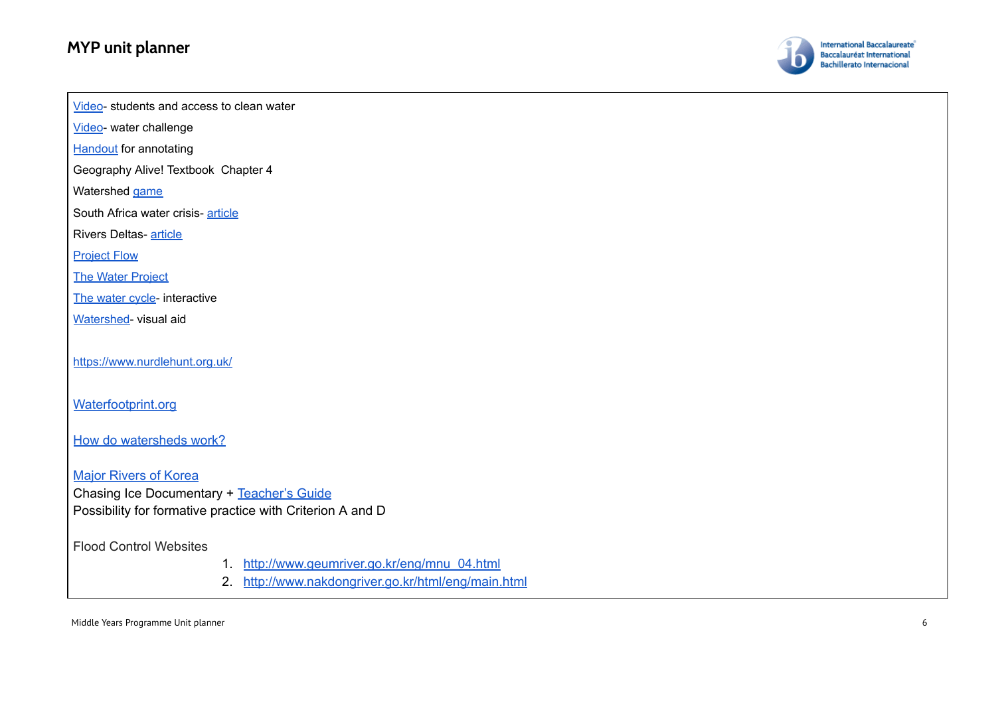

[Video](https://www.youtube.com/watch?v=PZ6J3hUo0kE)- students and access to clean water

[Video](https://vimeo.com/110654996)- water challenge

**[Handout](https://thewaterproject.org/resources/twp-handouts.pdf)** for annotating

Geography Alive! Textbook Chapter 4

Watershed [game](https://www.extension.purdue.edu/extmedia/FNR/FNR-476-W%20Discovering%20the%20Watershed%2013.pdf)

South Africa water crisis- [article](https://newsela.com/read/cape-town-water-crisis/id/40154)

Rivers Deltas- [article](https://newsela.com/read/lib-what-is-river-delta/id/34819)

[Project](http://www.lsf-lst.ca/media/LSF_-_FLOW_-_ON_Grade_8_Water_Unit_Sample.pdf) Flow

**The Water [Project](https://thewaterproject.org/resources/WaterLogs_5to8.pdf)** 

The [water](https://www3.epa.gov/safewater/kids/flash/flash_watercycle.html) cycle- interactive

[Watershed-](https://water.usgs.gov/outreach/Posters/watersheds/images/WatershedsMidschFront.jpg) visual aid

<https://www.nurdlehunt.org.uk/>

[Waterfootprint.org](http://waterfootprint.org/en/water-footprint/what-is-water-footprint/)

How do [watersheds](http://www.battleriverwatershed.ca/content/how-watersheds-work) work?

Major [Rivers](http://www.wamis.go.kr/ENG/wa_summary.aspx) of Korea

Chasing Ice Documentary + [Teacher's](https://www.chasingice.com/wp-content/uploads/2015/01/Chasing-Ice-MS_discussion-Guide_12182013.pdf) Guide Possibility for formative practice with Criterion A and D

Flood Control Websites

1. [http://www.geumriver.go.kr/eng/mnu\\_04.html](http://www.geumriver.go.kr/eng/mnu_04.html)

2. <http://www.nakdongriver.go.kr/html/eng/main.html>